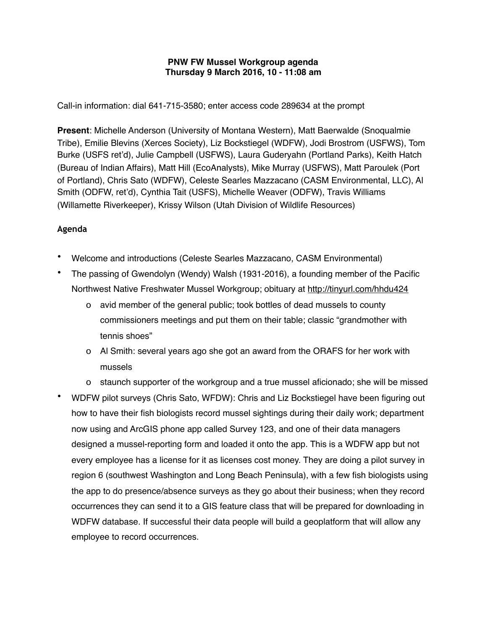## **PNW FW Mussel Workgroup agenda Thursday 9 March 2016, 10 - 11:08 am**

Call-in information: dial 641-715-3580; enter access code 289634 at the prompt

**Present**: Michelle Anderson (University of Montana Western), Matt Baerwalde (Snoqualmie Tribe), Emilie Blevins (Xerces Society), Liz Bockstiegel (WDFW), Jodi Brostrom (USFWS), Tom Burke (USFS ret'd), Julie Campbell (USFWS), Laura Guderyahn (Portland Parks), Keith Hatch (Bureau of Indian Affairs), Matt Hill (EcoAnalysts), Mike Murray (USFWS), Matt Paroulek (Port of Portland), Chris Sato (WDFW), Celeste Searles Mazzacano (CASM Environmental, LLC), Al Smith (ODFW, ret'd), Cynthia Tait (USFS), Michelle Weaver (ODFW), Travis Williams (Willamette Riverkeeper), Krissy Wilson (Utah Division of Wildlife Resources)

## **Agenda**

- Welcome and introductions (Celeste Searles Mazzacano, CASM Environmental)
- The passing of Gwendolyn (Wendy) Walsh (1931-2016), a founding member of the Pacific Northwest Native Freshwater Mussel Workgroup; obituary at <http://tinyurl.com/hhdu424>
	- o avid member of the general public; took bottles of dead mussels to county commissioners meetings and put them on their table; classic "grandmother with tennis shoes"
	- o Al Smith: several years ago she got an award from the ORAFS for her work with mussels
	- o staunch supporter of the workgroup and a true mussel aficionado; she will be missed
- WDFW pilot surveys (Chris Sato, WFDW): Chris and Liz Bockstiegel have been figuring out how to have their fish biologists record mussel sightings during their daily work; department now using and ArcGIS phone app called Survey 123, and one of their data managers designed a mussel-reporting form and loaded it onto the app. This is a WDFW app but not every employee has a license for it as licenses cost money. They are doing a pilot survey in region 6 (southwest Washington and Long Beach Peninsula), with a few fish biologists using the app to do presence/absence surveys as they go about their business; when they record occurrences they can send it to a GIS feature class that will be prepared for downloading in WDFW database. If successful their data people will build a geoplatform that will allow any employee to record occurrences.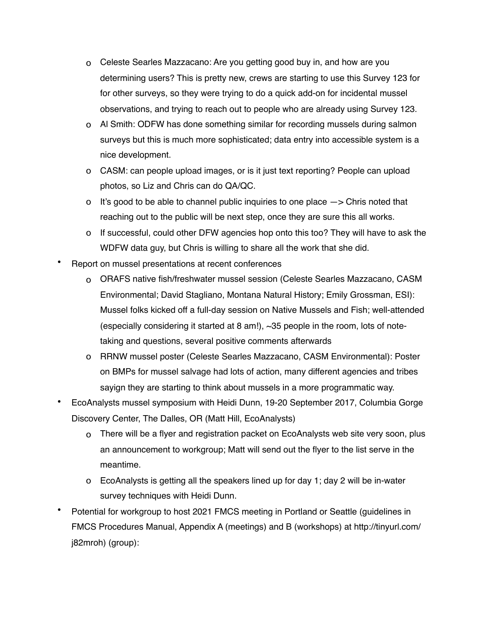- o Celeste Searles Mazzacano: Are you getting good buy in, and how are you determining users? This is pretty new, crews are starting to use this Survey 123 for for other surveys, so they were trying to do a quick add-on for incidental mussel observations, and trying to reach out to people who are already using Survey 123.
- o Al Smith: ODFW has done something similar for recording mussels during salmon surveys but this is much more sophisticated; data entry into accessible system is a nice development.
- o CASM: can people upload images, or is it just text reporting? People can upload photos, so Liz and Chris can do QA/QC.
- o It's good to be able to channel public inquiries to one place  $\rightarrow$  Chris noted that reaching out to the public will be next step, once they are sure this all works.
- o If successful, could other DFW agencies hop onto this too? They will have to ask the WDFW data guy, but Chris is willing to share all the work that she did.
- Report on mussel presentations at recent conferences
	- o ORAFS native fish/freshwater mussel session (Celeste Searles Mazzacano, CASM Environmental; David Stagliano, Montana Natural History; Emily Grossman, ESI): Mussel folks kicked off a full-day session on Native Mussels and Fish; well-attended (especially considering it started at 8 am!), ~35 people in the room, lots of notetaking and questions, several positive comments afterwards
	- o RRNW mussel poster (Celeste Searles Mazzacano, CASM Environmental): Poster on BMPs for mussel salvage had lots of action, many different agencies and tribes sayign they are starting to think about mussels in a more programmatic way.
- EcoAnalysts mussel symposium with Heidi Dunn, 19-20 September 2017, Columbia Gorge Discovery Center, The Dalles, OR (Matt Hill, EcoAnalysts)
	- o There will be a flyer and registration packet on EcoAnalysts web site very soon, plus an announcement to workgroup; Matt will send out the flyer to the list serve in the meantime.
	- o EcoAnalysts is getting all the speakers lined up for day 1; day 2 will be in-water survey techniques with Heidi Dunn.
- Potential for workgroup to host 2021 FMCS meeting in Portland or Seattle (guidelines in FMCS Procedures Manual, Appendix A (meetings) and B (workshops) at http://tinyurl.com/ j82mroh) (group):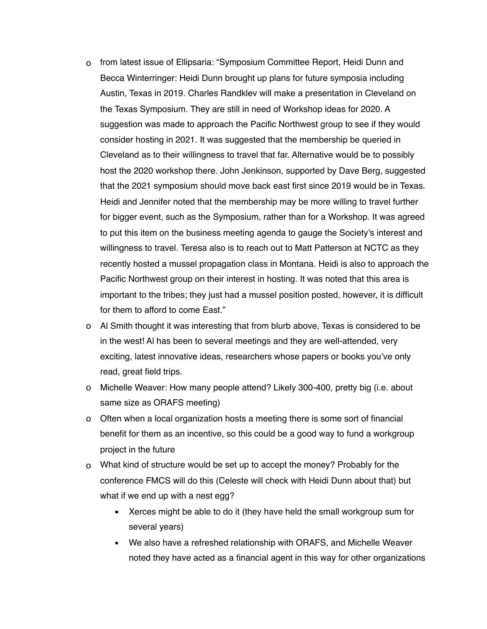- o from latest issue of Ellipsaria: "Symposium Committee Report, Heidi Dunn and Becca Winterringer: Heidi Dunn brought up plans for future symposia including Austin, Texas in 2019. Charles Randklev will make a presentation in Cleveland on the Texas Symposium. They are still in need of Workshop ideas for 2020. A suggestion was made to approach the Pacific Northwest group to see if they would consider hosting in 2021. It was suggested that the membership be queried in Cleveland as to their willingness to travel that far. Alternative would be to possibly host the 2020 workshop there. John Jenkinson, supported by Dave Berg, suggested that the 2021 symposium should move back east first since 2019 would be in Texas. Heidi and Jennifer noted that the membership may be more willing to travel further for bigger event, such as the Symposium, rather than for a Workshop. It was agreed to put this item on the business meeting agenda to gauge the Society's interest and willingness to travel. Teresa also is to reach out to Matt Patterson at NCTC as they recently hosted a mussel propagation class in Montana. Heidi is also to approach the Pacific Northwest group on their interest in hosting. It was noted that this area is important to the tribes; they just had a mussel position posted, however, it is difficult for them to afford to come East."
- o Al Smith thought it was interesting that from blurb above, Texas is considered to be in the west! Al has been to several meetings and they are well-attended, very exciting, latest innovative ideas, researchers whose papers or books you've only read, great field trips.
- o Michelle Weaver: How many people attend? Likely 300-400, pretty big (i.e. about same size as ORAFS meeting)
- o Often when a local organization hosts a meeting there is some sort of financial benefit for them as an incentive, so this could be a good way to fund a workgroup project in the future
- o What kind of structure would be set up to accept the money? Probably for the conference FMCS will do this (Celeste will check with Heidi Dunn about that) but what if we end up with a nest egg?
	- **EXELUANGER** 2 Xerces might be able to do it (they have held the small workgroup sum for several years)
	- We also have a refreshed relationship with ORAFS, and Michelle Weaver noted they have acted as a financial agent in this way for other organizations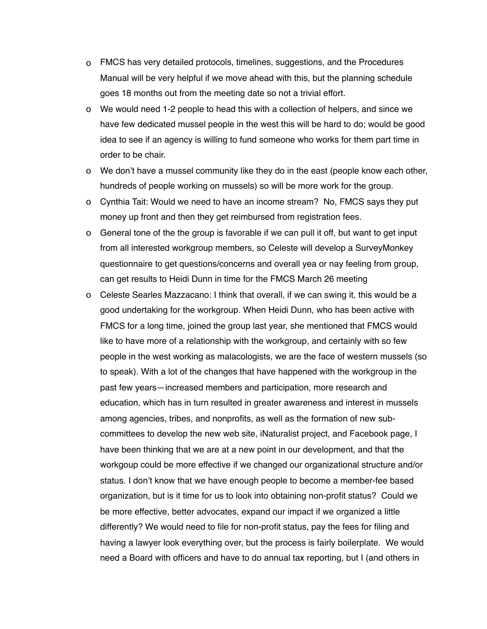- o FMCS has very detailed protocols, timelines, suggestions, and the Procedures Manual will be very helpful if we move ahead with this, but the planning schedule goes 18 months out from the meeting date so not a trivial effort.
- o We would need 1-2 people to head this with a collection of helpers, and since we have few dedicated mussel people in the west this will be hard to do; would be good idea to see if an agency is willing to fund someone who works for them part time in order to be chair.
- o We don't have a mussel community like they do in the east (people know each other, hundreds of people working on mussels) so will be more work for the group.
- o Cynthia Tait: Would we need to have an income stream? No, FMCS says they put money up front and then they get reimbursed from registration fees.
- o General tone of the the group is favorable if we can pull it off, but want to get input from all interested workgroup members, so Celeste will develop a SurveyMonkey questionnaire to get questions/concerns and overall yea or nay feeling from group, can get results to Heidi Dunn in time for the FMCS March 26 meeting
- o Celeste Searles Mazzacano: I think that overall, if we can swing it, this would be a good undertaking for the workgroup. When Heidi Dunn, who has been active with FMCS for a long time, joined the group last year, she mentioned that FMCS would like to have more of a relationship with the workgroup, and certainly with so few people in the west working as malacologists, we are the face of western mussels (so to speak). With a lot of the changes that have happened with the workgroup in the past few years—increased members and participation, more research and education, which has in turn resulted in greater awareness and interest in mussels among agencies, tribes, and nonprofits, as well as the formation of new subcommittees to develop the new web site, iNaturalist project, and Facebook page, I have been thinking that we are at a new point in our development, and that the workgoup could be more effective if we changed our organizational structure and/or status. I don't know that we have enough people to become a member-fee based organization, but is it time for us to look into obtaining non-profit status? Could we be more effective, better advocates, expand our impact if we organized a little differently? We would need to file for non-profit status, pay the fees for filing and having a lawyer look everything over, but the process is fairly boilerplate. We would need a Board with officers and have to do annual tax reporting, but I (and others in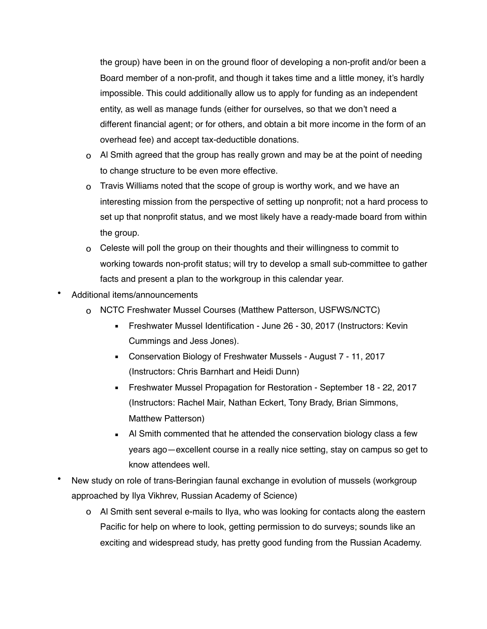the group) have been in on the ground floor of developing a non-profit and/or been a Board member of a non-profit, and though it takes time and a little money, it's hardly impossible. This could additionally allow us to apply for funding as an independent entity, as well as manage funds (either for ourselves, so that we don't need a different financial agent; or for others, and obtain a bit more income in the form of an overhead fee) and accept tax-deductible donations.

- o Al Smith agreed that the group has really grown and may be at the point of needing to change structure to be even more effective.
- o Travis Williams noted that the scope of group is worthy work, and we have an interesting mission from the perspective of setting up nonprofit; not a hard process to set up that nonprofit status, and we most likely have a ready-made board from within the group.
- o Celeste will poll the group on their thoughts and their willingness to commit to working towards non-profit status; will try to develop a small sub-committee to gather facts and present a plan to the workgroup in this calendar year.
- Additional items/announcements
	- o NCTC Freshwater Mussel Courses (Matthew Patterson, USFWS/NCTC)
		- **EXECTE:** Freshwater Mussel Identification June 26 30, 2017 (Instructors: Kevin Cummings and Jess Jones).
		- Conservation Biology of Freshwater Mussels August 7 11, 2017 (Instructors: Chris Barnhart and Heidi Dunn)
		- Freshwater Mussel Propagation for Restoration September 18 22, 2017 (Instructors: Rachel Mair, Nathan Eckert, Tony Brady, Brian Simmons, Matthew Patterson)
		- Al Smith commented that he attended the conservation biology class a few years ago—excellent course in a really nice setting, stay on campus so get to know attendees well.
- New study on role of trans-Beringian faunal exchange in evolution of mussels (workgroup approached by Ilya Vikhrev, Russian Academy of Science)
	- o Al Smith sent several e-mails to Ilya, who was looking for contacts along the eastern Pacific for help on where to look, getting permission to do surveys; sounds like an exciting and widespread study, has pretty good funding from the Russian Academy.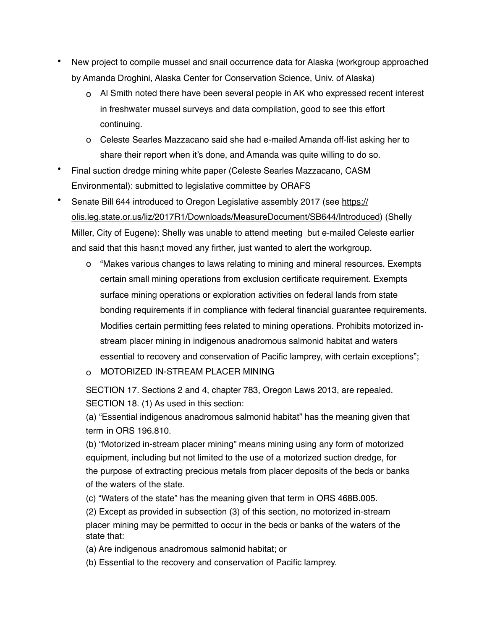- New project to compile mussel and snail occurrence data for Alaska (workgroup approached by Amanda Droghini, Alaska Center for Conservation Science, Univ. of Alaska)
	- o Al Smith noted there have been several people in AK who expressed recent interest in freshwater mussel surveys and data compilation, good to see this effort continuing.
	- o Celeste Searles Mazzacano said she had e-mailed Amanda off-list asking her to share their report when it's done, and Amanda was quite willing to do so.
- Final suction dredge mining white paper (Celeste Searles Mazzacano, CASM Environmental): submitted to legislative committee by ORAFS
- Senate Bill 644 introduced to Oregon Legislative assembly 2017 (see [https://](https://olis.leg.state.or.us/liz/2017R1/Downloads/MeasureDocument/SB644/Introduced) [olis.leg.state.or.us/liz/2017R1/Downloads/MeasureDocument/SB644/Introduced\)](https://olis.leg.state.or.us/liz/2017R1/Downloads/MeasureDocument/SB644/Introduced) (Shelly Miller, City of Eugene): Shelly was unable to attend meeting but e-mailed Celeste earlier and said that this hasn;t moved any firther, just wanted to alert the workgroup.
	- o "Makes various changes to laws relating to mining and mineral resources. Exempts certain small mining operations from exclusion certificate requirement. Exempts surface mining operations or exploration activities on federal lands from state bonding requirements if in compliance with federal financial guarantee requirements. Modifies certain permitting fees related to mining operations. Prohibits motorized instream placer mining in indigenous anadromous salmonid habitat and waters essential to recovery and conservation of Pacific lamprey, with certain exceptions";
	- o MOTORIZED IN-STREAM PLACER MINING

SECTION 17. Sections 2 and 4, chapter 783, Oregon Laws 2013, are repealed. SECTION 18. (1) As used in this section:

(a) "Essential indigenous anadromous salmonid habitat" has the meaning given that term in ORS 196.810.

(b) "Motorized in-stream placer mining" means mining using any form of motorized equipment, including but not limited to the use of a motorized suction dredge, for the purpose of extracting precious metals from placer deposits of the beds or banks of the waters of the state.

(c) "Waters of the state" has the meaning given that term in ORS 468B.005.

(2) Except as provided in subsection (3) of this section, no motorized in-stream placer mining may be permitted to occur in the beds or banks of the waters of the state that:

(a) Are indigenous anadromous salmonid habitat; or

(b) Essential to the recovery and conservation of Pacific lamprey.